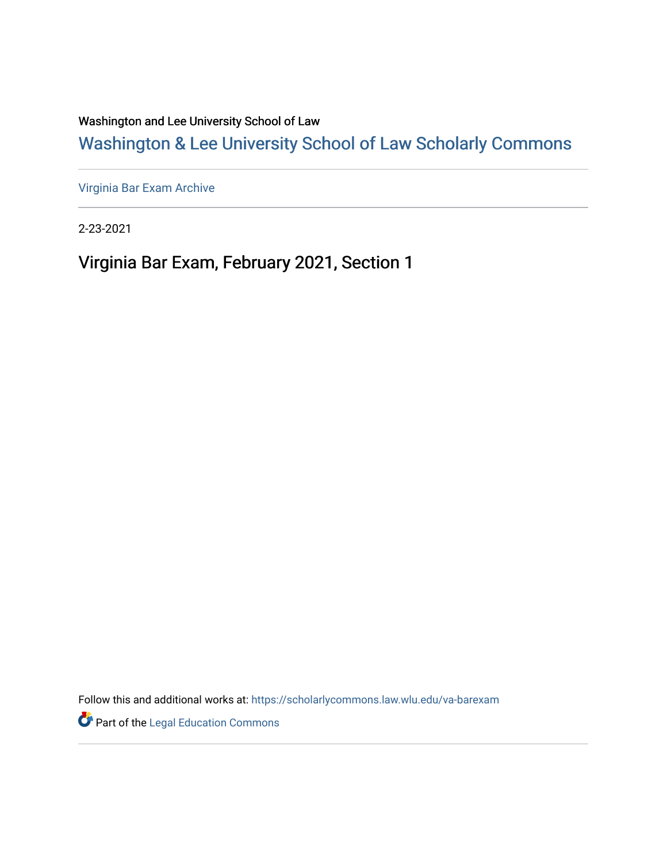Washington and Lee University School of Law

# [Washington & Lee University School of Law Scholarly Commons](https://scholarlycommons.law.wlu.edu/)

[Virginia Bar Exam Archive](https://scholarlycommons.law.wlu.edu/va-barexam)

2-23-2021

Virginia Bar Exam, February 2021, Section 1

Follow this and additional works at: [https://scholarlycommons.law.wlu.edu/va-barexam](https://scholarlycommons.law.wlu.edu/va-barexam?utm_source=scholarlycommons.law.wlu.edu%2Fva-barexam%2F215&utm_medium=PDF&utm_campaign=PDFCoverPages) 

**Part of the Legal Education Commons**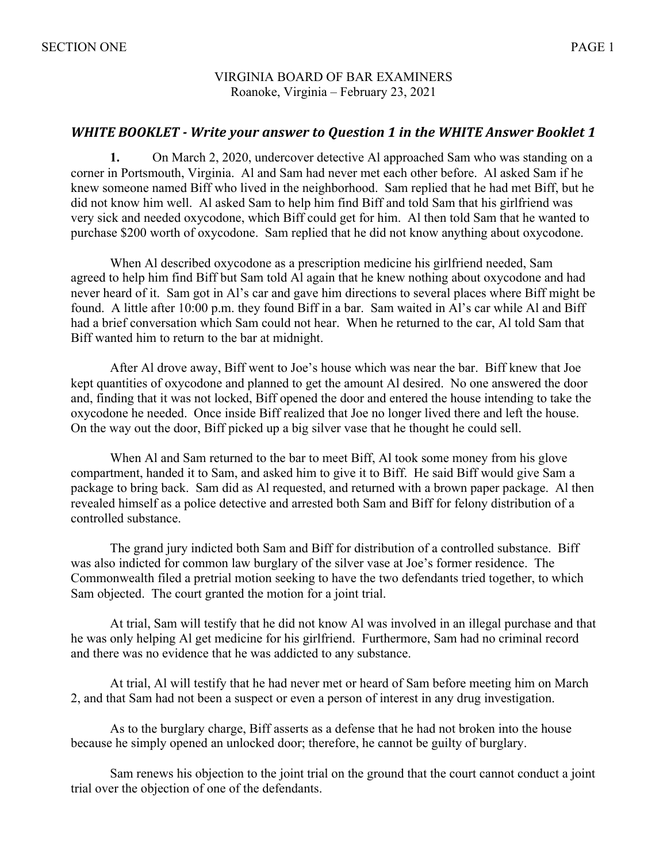#### VIRGINIA BOARD OF BAR EXAMINERS Roanoke, Virginia – February 23, 2021

## *WHITE BOOKLET* - *Write your answer to Question 1 in the WHITE Answer Booklet 1*

**1.** On March 2, 2020, undercover detective Al approached Sam who was standing on a corner in Portsmouth, Virginia. Al and Sam had never met each other before. Al asked Sam if he knew someone named Biff who lived in the neighborhood. Sam replied that he had met Biff, but he did not know him well. Al asked Sam to help him find Biff and told Sam that his girlfriend was very sick and needed oxycodone, which Biff could get for him. Al then told Sam that he wanted to purchase \$200 worth of oxycodone. Sam replied that he did not know anything about oxycodone.

When Al described oxycodone as a prescription medicine his girlfriend needed, Sam agreed to help him find Biff but Sam told Al again that he knew nothing about oxycodone and had never heard of it. Sam got in Al's car and gave him directions to several places where Biff might be found. A little after 10:00 p.m. they found Biff in a bar. Sam waited in Al's car while Al and Biff had a brief conversation which Sam could not hear. When he returned to the car, Al told Sam that Biff wanted him to return to the bar at midnight.

After Al drove away, Biff went to Joe's house which was near the bar. Biff knew that Joe kept quantities of oxycodone and planned to get the amount Al desired. No one answered the door and, finding that it was not locked, Biff opened the door and entered the house intending to take the oxycodone he needed. Once inside Biff realized that Joe no longer lived there and left the house. On the way out the door, Biff picked up a big silver vase that he thought he could sell.

When Al and Sam returned to the bar to meet Biff, Al took some money from his glove compartment, handed it to Sam, and asked him to give it to Biff. He said Biff would give Sam a package to bring back. Sam did as Al requested, and returned with a brown paper package. Al then revealed himself as a police detective and arrested both Sam and Biff for felony distribution of a controlled substance.

The grand jury indicted both Sam and Biff for distribution of a controlled substance. Biff was also indicted for common law burglary of the silver vase at Joe's former residence. The Commonwealth filed a pretrial motion seeking to have the two defendants tried together, to which Sam objected. The court granted the motion for a joint trial.

At trial, Sam will testify that he did not know Al was involved in an illegal purchase and that he was only helping Al get medicine for his girlfriend. Furthermore, Sam had no criminal record and there was no evidence that he was addicted to any substance.

At trial, Al will testify that he had never met or heard of Sam before meeting him on March 2, and that Sam had not been a suspect or even a person of interest in any drug investigation.

As to the burglary charge, Biff asserts as a defense that he had not broken into the house because he simply opened an unlocked door; therefore, he cannot be guilty of burglary.

Sam renews his objection to the joint trial on the ground that the court cannot conduct a joint trial over the objection of one of the defendants.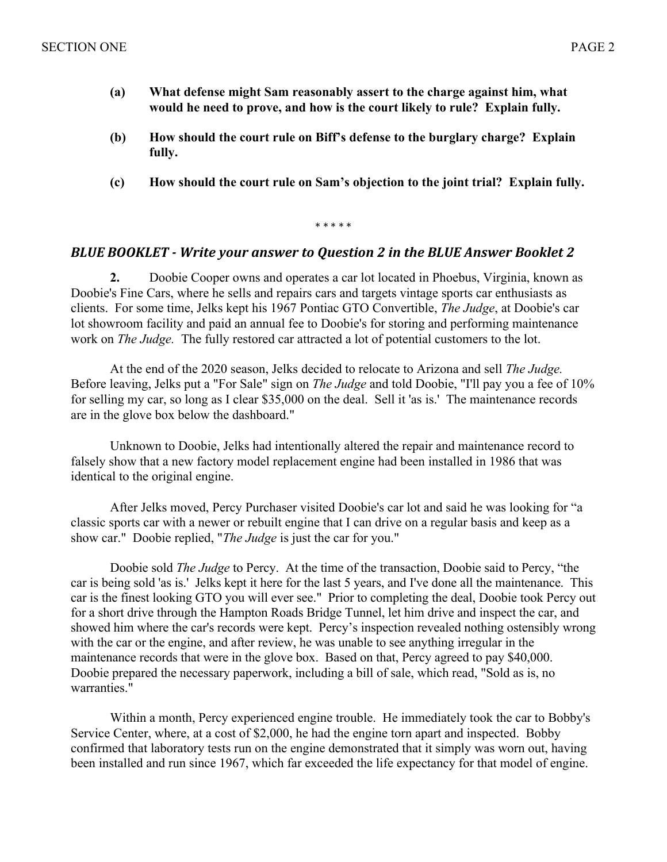- **(a) What defense might Sam reasonably assert to the charge against him, what would he need to prove, and how is the court likely to rule? Explain fully.**
- **(b) How should the court rule on Biff's defense to the burglary charge? Explain fully.**
- **(c) How should the court rule on Sam's objection to the joint trial? Explain fully.**

\* \* \* \* \*

### **BLUE BOOKLET** - Write your answer to Question 2 in the BLUE Answer Booklet 2

**2.** Doobie Cooper owns and operates a car lot located in Phoebus, Virginia, known as Doobie's Fine Cars, where he sells and repairs cars and targets vintage sports car enthusiasts as clients. For some time, Jelks kept his 1967 Pontiac GTO Convertible, *The Judge*, at Doobie's car lot showroom facility and paid an annual fee to Doobie's for storing and performing maintenance work on *The Judge.* The fully restored car attracted a lot of potential customers to the lot.

At the end of the 2020 season, Jelks decided to relocate to Arizona and sell *The Judge.*  Before leaving, Jelks put a "For Sale" sign on *The Judge* and told Doobie, "I'll pay you a fee of 10% for selling my car, so long as I clear \$35,000 on the deal. Sell it 'as is.' The maintenance records are in the glove box below the dashboard."

Unknown to Doobie, Jelks had intentionally altered the repair and maintenance record to falsely show that a new factory model replacement engine had been installed in 1986 that was identical to the original engine.

After Jelks moved, Percy Purchaser visited Doobie's car lot and said he was looking for "a classic sports car with a newer or rebuilt engine that I can drive on a regular basis and keep as a show car." Doobie replied, "*The Judge* is just the car for you."

Doobie sold *The Judge* to Percy. At the time of the transaction, Doobie said to Percy, "the car is being sold 'as is.' Jelks kept it here for the last 5 years, and I've done all the maintenance. This car is the finest looking GTO you will ever see." Prior to completing the deal, Doobie took Percy out for a short drive through the Hampton Roads Bridge Tunnel, let him drive and inspect the car, and showed him where the car's records were kept. Percy's inspection revealed nothing ostensibly wrong with the car or the engine, and after review, he was unable to see anything irregular in the maintenance records that were in the glove box. Based on that, Percy agreed to pay \$40,000. Doobie prepared the necessary paperwork, including a bill of sale, which read, "Sold as is, no warranties."

Within a month, Percy experienced engine trouble. He immediately took the car to Bobby's Service Center, where, at a cost of \$2,000, he had the engine torn apart and inspected. Bobby confirmed that laboratory tests run on the engine demonstrated that it simply was worn out, having been installed and run since 1967, which far exceeded the life expectancy for that model of engine.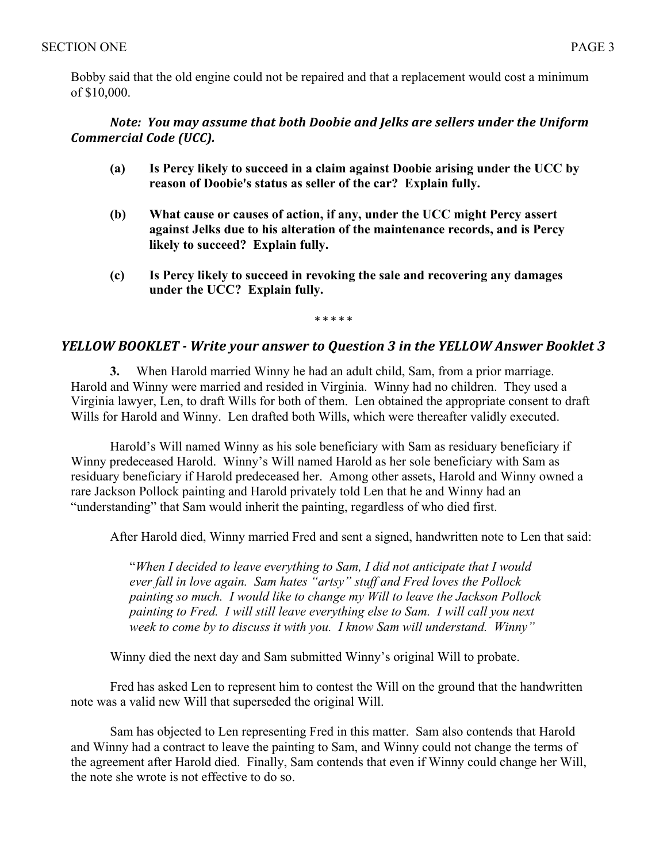Bobby said that the old engine could not be repaired and that a replacement would cost a minimum of \$10,000.

## *Note: You may assume that both Doobie and Jelks are sellers under the Uniform Commercial Code (UCC).*

- **(a) Is Percy likely to succeed in a claim against Doobie arising under the UCC by reason of Doobie's status as seller of the car? Explain fully.**
- **(b) What cause or causes of action, if any, under the UCC might Percy assert against Jelks due to his alteration of the maintenance records, and is Percy likely to succeed? Explain fully.**
- **(c) Is Percy likely to succeed in revoking the sale and recovering any damages under the UCC? Explain fully.**

**\* \* \* \* \***

# *YELLOW BOOKLET - Write your answer to Question 3 in the YELLOW Answer Booklet 3*

**3.** When Harold married Winny he had an adult child, Sam, from a prior marriage. Harold and Winny were married and resided in Virginia. Winny had no children. They used a Virginia lawyer, Len, to draft Wills for both of them. Len obtained the appropriate consent to draft Wills for Harold and Winny. Len drafted both Wills, which were thereafter validly executed.

 Harold's Will named Winny as his sole beneficiary with Sam as residuary beneficiary if Winny predeceased Harold. Winny's Will named Harold as her sole beneficiary with Sam as residuary beneficiary if Harold predeceased her. Among other assets, Harold and Winny owned a rare Jackson Pollock painting and Harold privately told Len that he and Winny had an "understanding" that Sam would inherit the painting, regardless of who died first.

After Harold died, Winny married Fred and sent a signed, handwritten note to Len that said:

"*When I decided to leave everything to Sam, I did not anticipate that I would ever fall in love again. Sam hates "artsy" stuff and Fred loves the Pollock painting so much. I would like to change my Will to leave the Jackson Pollock painting to Fred. I will still leave everything else to Sam. I will call you next week to come by to discuss it with you. I know Sam will understand. Winny"*

Winny died the next day and Sam submitted Winny's original Will to probate.

 Fred has asked Len to represent him to contest the Will on the ground that the handwritten note was a valid new Will that superseded the original Will.

 Sam has objected to Len representing Fred in this matter. Sam also contends that Harold and Winny had a contract to leave the painting to Sam, and Winny could not change the terms of the agreement after Harold died. Finally, Sam contends that even if Winny could change her Will, the note she wrote is not effective to do so.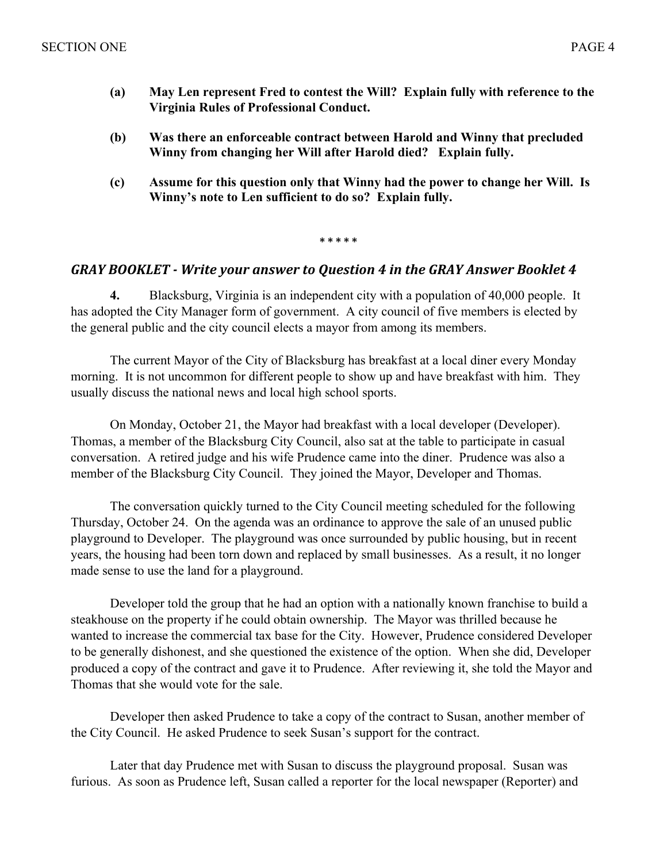- **(a) May Len represent Fred to contest the Will? Explain fully with reference to the Virginia Rules of Professional Conduct.**
- **(b) Was there an enforceable contract between Harold and Winny that precluded Winny from changing her Will after Harold died? Explain fully.**
- **(c) Assume for this question only that Winny had the power to change her Will. Is Winny's note to Len sufficient to do so? Explain fully.**

**\* \* \* \* \***

# GRAY BOOKLET - Write your answer to Question 4 in the GRAY Answer Booklet 4

**4.** Blacksburg, Virginia is an independent city with a population of 40,000 people. It has adopted the City Manager form of government. A city council of five members is elected by the general public and the city council elects a mayor from among its members.

The current Mayor of the City of Blacksburg has breakfast at a local diner every Monday morning. It is not uncommon for different people to show up and have breakfast with him. They usually discuss the national news and local high school sports.

On Monday, October 21, the Mayor had breakfast with a local developer (Developer). Thomas, a member of the Blacksburg City Council, also sat at the table to participate in casual conversation. A retired judge and his wife Prudence came into the diner. Prudence was also a member of the Blacksburg City Council. They joined the Mayor, Developer and Thomas.

The conversation quickly turned to the City Council meeting scheduled for the following Thursday, October 24. On the agenda was an ordinance to approve the sale of an unused public playground to Developer. The playground was once surrounded by public housing, but in recent years, the housing had been torn down and replaced by small businesses. As a result, it no longer made sense to use the land for a playground.

Developer told the group that he had an option with a nationally known franchise to build a steakhouse on the property if he could obtain ownership. The Mayor was thrilled because he wanted to increase the commercial tax base for the City. However, Prudence considered Developer to be generally dishonest, and she questioned the existence of the option. When she did, Developer produced a copy of the contract and gave it to Prudence. After reviewing it, she told the Mayor and Thomas that she would vote for the sale.

Developer then asked Prudence to take a copy of the contract to Susan, another member of the City Council. He asked Prudence to seek Susan's support for the contract.

Later that day Prudence met with Susan to discuss the playground proposal. Susan was furious. As soon as Prudence left, Susan called a reporter for the local newspaper (Reporter) and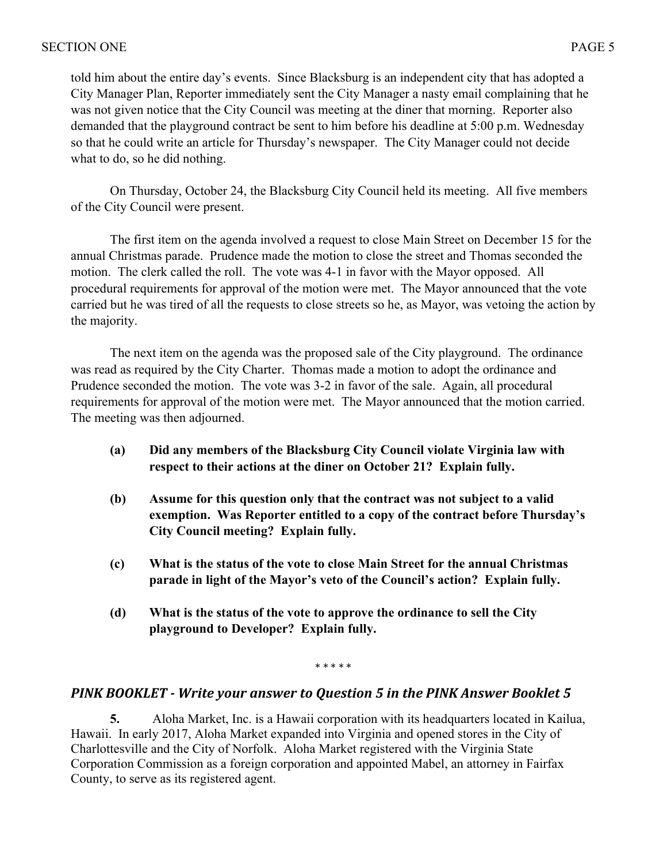told him about the entire day's events. Since Blacksburg is an independent city that has adopted a City Manager Plan, Reporter immediately sent the City Manager a nasty email complaining that he was not given notice that the City Council was meeting at the diner that morning. Reporter also demanded that the playground contract be sent to him before his deadline at 5:00 p.m. Wednesday so that he could write an article for Thursday's newspaper. The City Manager could not decide what to do, so he did nothing.

On Thursday, October 24, the Blacksburg City Council held its meeting. All five members of the City Council were present.

The first item on the agenda involved a request to close Main Street on December 15 for the annual Christmas parade. Prudence made the motion to close the street and Thomas seconded the motion. The clerk called the roll. The vote was 4-1 in favor with the Mayor opposed. All procedural requirements for approval of the motion were met. The Mayor announced that the vote carried but he was tired of all the requests to close streets so he, as Mayor, was vetoing the action by the majority.

The next item on the agenda was the proposed sale of the City playground. The ordinance was read as required by the City Charter. Thomas made a motion to adopt the ordinance and Prudence seconded the motion. The vote was 3-2 in favor of the sale. Again, all procedural requirements for approval of the motion were met. The Mayor announced that the motion carried. The meeting was then adjourned.

- **(a) Did any members of the Blacksburg City Council violate Virginia law with respect to their actions at the diner on October 21? Explain fully.**
- **(b) Assume for this question only that the contract was not subject to a valid exemption. Was Reporter entitled to a copy of the contract before Thursday's City Council meeting? Explain fully.**
- **(c) What is the status of the vote to close Main Street for the annual Christmas parade in light of the Mayor's veto of the Council's action? Explain fully.**
- **(d) What is the status of the vote to approve the ordinance to sell the City playground to Developer? Explain fully.**

\* \* \* \* \*

# **PINK BOOKLET** - Write your answer to Question 5 in the PINK Answer Booklet 5

**5.** Aloha Market, Inc. is a Hawaii corporation with its headquarters located in Kailua, Hawaii. In early 2017, Aloha Market expanded into Virginia and opened stores in the City of Charlottesville and the City of Norfolk. Aloha Market registered with the Virginia State Corporation Commission as a foreign corporation and appointed Mabel, an attorney in Fairfax County, to serve as its registered agent.